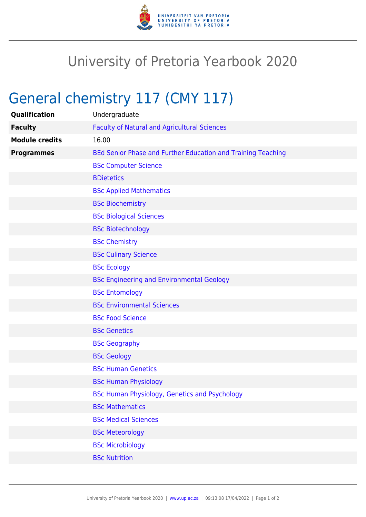

## University of Pretoria Yearbook 2020

## General chemistry 117 (CMY 117)

| <b>Qualification</b>  | Undergraduate                                                |
|-----------------------|--------------------------------------------------------------|
| <b>Faculty</b>        | <b>Faculty of Natural and Agricultural Sciences</b>          |
| <b>Module credits</b> | 16.00                                                        |
| <b>Programmes</b>     | BEd Senior Phase and Further Education and Training Teaching |
|                       | <b>BSc Computer Science</b>                                  |
|                       | <b>BDietetics</b>                                            |
|                       | <b>BSc Applied Mathematics</b>                               |
|                       | <b>BSc Biochemistry</b>                                      |
|                       | <b>BSc Biological Sciences</b>                               |
|                       | <b>BSc Biotechnology</b>                                     |
|                       | <b>BSc Chemistry</b>                                         |
|                       | <b>BSc Culinary Science</b>                                  |
|                       | <b>BSc Ecology</b>                                           |
|                       | <b>BSc Engineering and Environmental Geology</b>             |
|                       | <b>BSc Entomology</b>                                        |
|                       | <b>BSc Environmental Sciences</b>                            |
|                       | <b>BSc Food Science</b>                                      |
|                       | <b>BSc Genetics</b>                                          |
|                       | <b>BSc Geography</b>                                         |
|                       | <b>BSc Geology</b>                                           |
|                       | <b>BSc Human Genetics</b>                                    |
|                       | <b>BSc Human Physiology</b>                                  |
|                       | BSc Human Physiology, Genetics and Psychology                |
|                       | <b>BSc Mathematics</b>                                       |
|                       | <b>BSc Medical Sciences</b>                                  |
|                       | <b>BSc Meteorology</b>                                       |
|                       | <b>BSc Microbiology</b>                                      |
|                       | <b>BSc Nutrition</b>                                         |
|                       |                                                              |